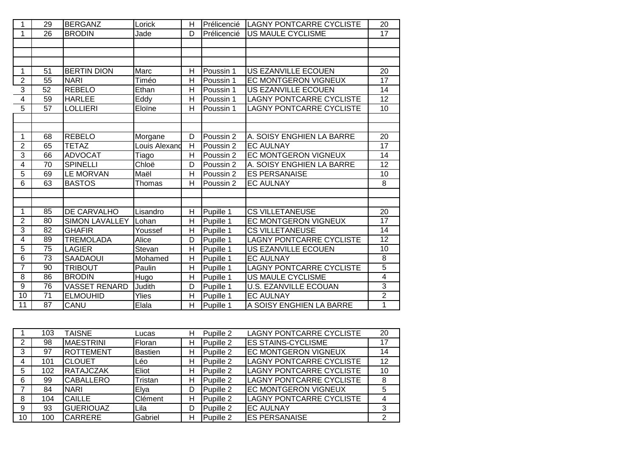| 1              | 29              | <b>BERGANZ</b>        | Lorick        | н              | Prélicencié | <b>LAGNY PONTCARRE CYCLISTE</b> | 20              |
|----------------|-----------------|-----------------------|---------------|----------------|-------------|---------------------------------|-----------------|
| 1              | 26              | <b>BRODIN</b>         | Jade          | D              | Prélicencié | US MAULE CYCLISME               | $\overline{17}$ |
|                |                 |                       |               |                |             |                                 |                 |
|                |                 |                       |               |                |             |                                 |                 |
|                |                 |                       |               |                |             |                                 |                 |
| 1              | 51              | <b>BERTIN DION</b>    | Marc          | H              | Poussin 1   | US EZANVILLE ECOUEN             | 20              |
| $\overline{2}$ | 55              | <b>NARI</b>           | Timéo         | H              | Poussin 1   | <b>EC MONTGERON VIGNEUX</b>     | 17              |
| 3              | 52              | <b>REBELO</b>         | Ethan         | Н              | Poussin 1   | US EZANVILLE ECOUEN             | 14              |
| 4              | 59              | <b>HARLEE</b>         | Eddy          | H              | Poussin 1   | <b>LAGNY PONTCARRE CYCLISTE</b> | 12              |
| $\overline{5}$ | 57              | <b>LOLLIERI</b>       | Eloïne        | H              | Poussin 1   | <b>LAGNY PONTCARRE CYCLISTE</b> | 10              |
|                |                 |                       |               |                |             |                                 |                 |
|                |                 |                       |               |                |             |                                 |                 |
| 1              | 68              | <b>REBELO</b>         | Morgane       | D              | Poussin 2   | A. SOISY ENGHIEN LA BARRE       | 20              |
| $\overline{2}$ | 65              | <b>TETAZ</b>          | Louis Alexand | H              | Poussin 2   | <b>EC AULNAY</b>                | 17              |
| $\overline{3}$ | 66              | <b>ADVOCAT</b>        | Tiago         | H              | Poussin 2   | EC MONTGERON VIGNEUX            | 14              |
| 4              | 70              | <b>SPINELLI</b>       | Chloë         | D              | Poussin 2   | A. SOISY ENGHIEN LA BARRE       | 12              |
| 5              | 69              | LE MORVAN             | Maël          | H              | Poussin 2   | <b>ES PERSANAISE</b>            | 10              |
| 6              | 63              | <b>BASTOS</b>         | Thomas        | H              | Poussin 2   | <b>EC AULNAY</b>                | 8               |
|                |                 |                       |               |                |             |                                 |                 |
|                |                 |                       |               |                |             |                                 |                 |
| $\mathbf{1}$   | 85              | DE CARVALHO           | Lisandro      | H              | Pupille 1   | <b>CS VILLETANEUSE</b>          | 20              |
| $\overline{2}$ | 80              | <b>SIMON LAVALLEY</b> | Lohan         | H              | Pupille 1   | EC MONTGERON VIGNEUX            | 17              |
| 3              | 82              | <b>GHAFIR</b>         | Youssef       | $\overline{H}$ | Pupille 1   | <b>CS VILLETANEUSE</b>          | 14              |
| 4              | 89              | <b>TREMOLADA</b>      | Alice         | D              | Pupille 1   | <b>LAGNY PONTCARRE CYCLISTE</b> | 12              |
| $\overline{5}$ | 75              | <b>LAGIER</b>         | Stevan        | $\overline{H}$ | Pupille 1   | US EZANVILLE ECOUEN             | 10              |
| 6              | 73              | <b>SAADAOUI</b>       | Mohamed       | H              | Pupille 1   | <b>EC AULNAY</b>                | 8               |
| $\overline{7}$ | 90              | <b>TRIBOUT</b>        | Paulin        | H              | Pupille 1   | <b>LAGNY PONTCARRE CYCLISTE</b> | $\overline{5}$  |
| 8              | 86              | <b>BRODIN</b>         | Hugo          | $\overline{H}$ | Pupille 1   | <b>US MAULE CYCLISME</b>        | 4               |
| 9              | 76              | <b>VASSET RENARD</b>  | Judith        | D              | Pupille 1   | <b>U.S. EZANVILLE ECOUAN</b>    | $\overline{3}$  |
| 10             | $\overline{71}$ | <b>ELMOUHID</b>       | Ylies         | H              | Pupille 1   | <b>EC AULNAY</b>                | $\overline{2}$  |
| 11             | 87              | CANU                  | Elala         | H              | Pupille 1   | A SOISY ENGHIEN LA BARRE        | 1               |

|    | 103 | <b>TAISNE</b>    | Lucas          | н | Pupille 2 | <b>LAGNY PONTCARRE CYCLISTE</b> | 20 |
|----|-----|------------------|----------------|---|-----------|---------------------------------|----|
| 2  | 98  | MAESTRINI        | Floran         | н | Pupille 2 | <b>ES STAINS-CYCLISME</b>       | 17 |
| 3  | 97  | <b>ROTTEMENT</b> | <b>Bastien</b> | н | Pupille 2 | <b>EC MONTGERON VIGNEUX</b>     | 14 |
| 4  | 101 | <b>CLOUET</b>    | Léo            | Η | Pupille 2 | <b>LAGNY PONTCARRE CYCLISTE</b> | 12 |
| 5  | 102 | <b>RATAJCZAK</b> | Eliot          | н | Pupille 2 | <b>LAGNY PONTCARRE CYCLISTE</b> | 10 |
| 6  | 99  | <b>CABALLERO</b> | Tristan        | н | Pupille 2 | <b>LAGNY PONTCARRE CYCLISTE</b> | 8  |
|    | 84  | <b>NARI</b>      | Elya           | D | Pupille 2 | <b>EC MONTGERON VIGNEUX</b>     | 5  |
| 8  | 104 | <b>CAILLE</b>    | <b>Clément</b> | н | Pupille 2 | <b>LAGNY PONTCARRE CYCLISTE</b> | 4  |
| 9  | 93  | <b>GUERIOUAZ</b> | Lila           | D | Pupille 2 | <b>EC AULNAY</b>                | 3  |
| 10 | 100 | <b>CARRERE</b>   | Gabriel        | Н | Pupille 2 | <b>ES PERSANAISE</b>            | 2  |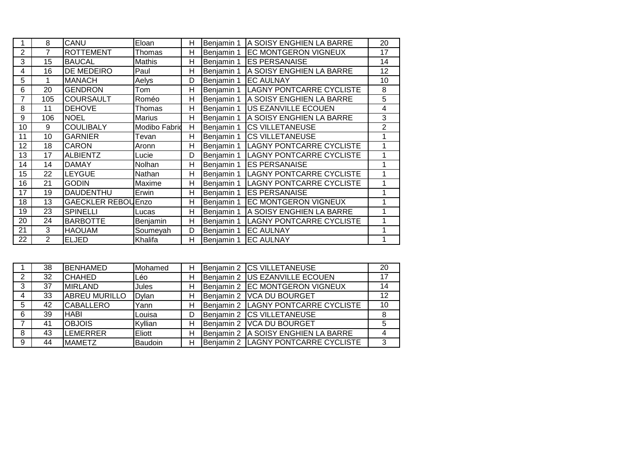|                | 8              | CANU               | Eloan                | Н | Benjamin 1 | A SOISY ENGHIEN LA BARRE        | 20              |
|----------------|----------------|--------------------|----------------------|---|------------|---------------------------------|-----------------|
| $\overline{2}$ | 7              | <b>ROTTEMENT</b>   | Thomas               | H | Benjamin 1 | <b>EC MONTGERON VIGNEUX</b>     | 17              |
| 3              | 15             | <b>BAUCAL</b>      | Mathis               | H | Benjamin 1 | <b>ES PERSANAISE</b>            | 14              |
| 4              | 16             | DE MEDEIRO         | Paul                 | H | Benjamin 1 | A SOISY ENGHIEN LA BARRE        | $\overline{12}$ |
| 5              |                | MANACH             | Aelys                | D | Benjamin 1 | <b>EC AULNAY</b>                | 10              |
| 6              | 20             | <b>GENDRON</b>     | Tom                  | Н | Benjamin 1 | <b>LAGNY PONTCARRE CYCLISTE</b> | 8               |
| 7              | 105            | <b>COURSAULT</b>   | Roméo                | H | Benjamin 1 | A SOISY ENGHIEN LA BARRE        | $\overline{5}$  |
| 8              | 11             | <b>DEHOVE</b>      | Thomas               | Н | Benjamin 1 | <b>IUS EZANVILLE ECOUEN</b>     | 4               |
| 9              | 106            | <b>NOEL</b>        | Marius               | Н | Benjamin 1 | A SOISY ENGHIEN LA BARRE        | $\mathfrak{S}$  |
| 10             | 9              | <b>COULIBALY</b>   | <b>Modibo Fabrid</b> | H | Benjamin 1 | <b>CS VILLETANEUSE</b>          | $\overline{2}$  |
| 11             | 10             | <b>GARNIER</b>     | Tevan                | H | Benjamin 1 | <b>CS VILLETANEUSE</b>          | 1               |
| 12             | 18             | CARON              | Aronn                | H | Benjamin 1 | <b>LAGNY PONTCARRE CYCLISTE</b> | 1               |
| 13             | 17             | ALBIENTZ           | Lucie                | D | Benjamin 1 | <b>LAGNY PONTCARRE CYCLISTE</b> | 1               |
| 14             | 14             | <b>DAMAY</b>       | Nolhan               | Н | Benjamin 1 | <b>ES PERSANAISE</b>            | 1               |
| 15             | 22             | <b>LEYGUE</b>      | Nathan               | H | Benjamin 1 | <b>LAGNY PONTCARRE CYCLISTE</b> |                 |
| 16             | 21             | <b>GODIN</b>       | Maxime               | Н | Benjamin 1 | <b>LAGNY PONTCARRE CYCLISTE</b> |                 |
| 17             | 19             | DAUDENTHU          | Erwin                | H | Benjamin 1 | <b>ES PERSANAISE</b>            |                 |
| 18             | 13             | GAECKLER REBOUEnzo |                      | H | Benjamin 1 | <b>EC MONTGERON VIGNEUX</b>     | 1               |
| 19             | 23             | <b>SPINELLI</b>    | Lucas                | Н | Benjamin 1 | A SOISY ENGHIEN LA BARRE        | 1               |
| 20             | 24             | <b>BARBOTTE</b>    | Benjamin             | H | Benjamin 1 | <b>LAGNY PONTCARRE CYCLISTE</b> | 1               |
| 21             | 3              | HAOUAM             | Soumeyah             | D | Benjamin 1 | <b>EC AULNAY</b>                |                 |
| 22             | $\overline{2}$ | <b>ELJED</b>       | Khalifa              | H | Benjamin 1 | <b>EC AULNAY</b>                | 1               |

|   | 38 | <b>BENHAMED</b>      | Mohamed | н | Benjamin 2 | <b>ICS VILLETANEUSE</b>         | 20 |
|---|----|----------------------|---------|---|------------|---------------------------------|----|
|   | 32 | <b>I</b> CHAHED      | Léo     | н | Benjamin 2 | US EZANVILLE ECOUEN             | 17 |
| 3 | 37 | <b>IMIRLAND</b>      | Jules   | н | Benjamin 2 | <b>EC MONTGERON VIGNEUX</b>     | 14 |
| 4 | 33 | <b>ABREU MURILLO</b> | Dylan   | н | Benjamin 2 | <b>VCA DU BOURGET</b>           | 12 |
| 5 | 42 | <b>I</b> CABALLERO   | Yann    | н | Benjamin 2 | LAGNY PONTCARRE CYCLISTE        | 10 |
| 6 | 39 | <b>HABI</b>          | Louisa  | D | Benjamin 2 | <b>ICS VILLETANEUSE</b>         | 8  |
|   | 41 | <b>OBJOIS</b>        | Kyllian | Н | Benjamin 2 | <b>VCA DU BOURGET</b>           | 5  |
| 8 | 43 | <b>LEMERRER</b>      | Eliott  | н | Benjamin 2 | A SOISY ENGHIEN LA BARRE        | 4  |
| 9 | 44 | <b>MAMETZ</b>        | Baudoin | н | Benjamin 2 | <b>LAGNY PONTCARRE CYCLISTE</b> | 3  |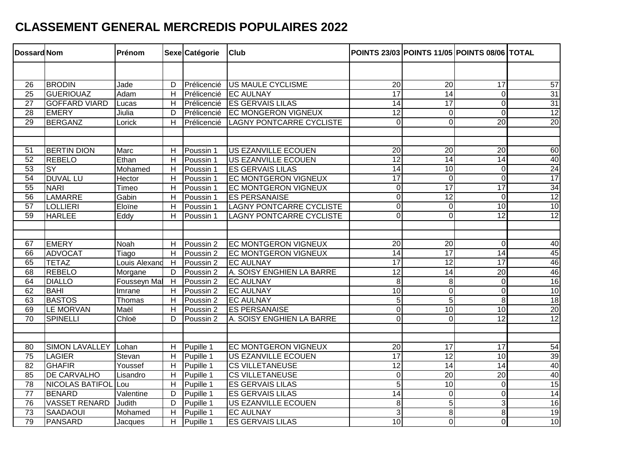## **CLASSEMENT GENERAL MERCREDIS POPULAIRES 2022**

| <b>Dossard Nom</b> |                        | Prénom        |                | Sexe Catégorie | <b>Club</b>                     |                 |                 | POINTS 23/03 POINTS 11/05 POINTS 08/06 TOTAL |                 |
|--------------------|------------------------|---------------|----------------|----------------|---------------------------------|-----------------|-----------------|----------------------------------------------|-----------------|
|                    |                        |               |                |                |                                 |                 |                 |                                              |                 |
| 26                 | <b>BRODIN</b>          | Jade          | D              | Prélicencié    | <b>US MAULE CYCLISME</b>        | $\overline{20}$ | $\overline{20}$ | $\overline{17}$                              | 57              |
| $\overline{25}$    | <b>GUERIOUAZ</b>       | Adam          | H              | Prélicencié    | <b>EC AULNAY</b>                | 17              | $\overline{14}$ | $\mathbf 0$                                  | 31              |
| $\overline{27}$    | <b>GOFFARD VIARD</b>   | Lucas         | H              | Prélicencié    | <b>ES GERVAIS LILAS</b>         | $\overline{14}$ | $\overline{17}$ | $\overline{0}$                               | 31              |
| 28                 | <b>EMERY</b>           | Jiulia        | D              | Prélicencié    | <b>EC MONGERON VIGNEUX</b>      | 12              | $\mathbf 0$     | $\overline{0}$                               | $\overline{12}$ |
| $\overline{29}$    | <b>BERGANZ</b>         | Lorick        | H              | Prélicencié    | <b>LAGNY PONTCARRE CYCLISTE</b> | $\overline{0}$  | $\overline{0}$  | $\overline{20}$                              | 20              |
|                    |                        |               |                |                |                                 |                 |                 |                                              |                 |
|                    |                        |               |                |                |                                 |                 |                 |                                              |                 |
| 51                 | <b>BERTIN DION</b>     | Marc          | $\overline{H}$ | Poussin 1      | US EZANVILLE ECOUEN             | $\overline{20}$ | $\overline{20}$ | $\overline{20}$                              | 60              |
| 52                 | <b>REBELO</b>          | Ethan         | $\overline{H}$ | Poussin 1      | US EZANVILLE ECOUEN             | $\overline{12}$ | $\overline{14}$ | $\overline{14}$                              | $\frac{40}{24}$ |
| 53                 | <b>SY</b>              | Mohamed       | H              | Poussin 1      | <b>ES GERVAIS LILAS</b>         | 14              | 10              | $\mathbf 0$                                  |                 |
| 54                 | <b>DUVAL LU</b>        | Hector        | H              | Poussin 1      | <b>EC MONTGERON VIGNEUX</b>     | $\overline{17}$ | $\overline{0}$  | $\overline{0}$                               | $\overline{17}$ |
| 55                 | <b>NARI</b>            | Timeo         | H              | Poussin 1      | <b>EC MONTGERON VIGNEUX</b>     | $\overline{0}$  | 17              | 17                                           | $\overline{34}$ |
| 56                 | LAMARRE                | Gabin         | H              | Poussin 1      | <b>ES PERSANAISE</b>            | $\overline{0}$  | 12              | $\overline{0}$                               | $\overline{12}$ |
| $\overline{57}$    | <b>LOLLIERI</b>        | Eloïne        | H              | Poussin 1      | <b>LAGNY PONTCARRE CYCLISTE</b> | $\overline{0}$  | $\mathbf 0$     | 10                                           | 10              |
| $\overline{59}$    | <b>HARLEE</b>          | Eddy          | н              | Poussin 1      | <b>LAGNY PONTCARRE CYCLISTE</b> | $\overline{0}$  | $\mathbf 0$     | $\overline{12}$                              | 12              |
|                    |                        |               |                |                |                                 |                 |                 |                                              |                 |
|                    |                        |               |                |                |                                 |                 |                 |                                              |                 |
| 67                 | <b>EMERY</b>           | Noah          | H              | Poussin 2      | <b>EC MONTGERON VIGNEUX</b>     | 20              | $\overline{20}$ | $\mathbf 0$                                  | 40              |
| 66                 | <b>ADVOCAT</b>         | Tiago         | H              | Poussin 2      | <b>EC MONTGERON VIGNEUX</b>     | $\overline{14}$ | 17              | $\overline{14}$                              | 45              |
| 65                 | <b>TETAZ</b>           | Louis Alexand | H              | Poussin 2      | <b>IEC AULNAY</b>               | $\overline{17}$ | $\overline{12}$ | $\overline{17}$                              |                 |
| 68                 | <b>REBELO</b>          | Morgane       | D              | Poussin 2      | A. SOISY ENGHIEN LA BARRE       | 12              | $\overline{14}$ | $\overline{20}$                              | $\frac{46}{46}$ |
| 64                 | <b>DIALLO</b>          | Fousseyn Mal  | H              | Poussin 2      | <b>EC AULNAY</b>                | $\infty$        | $\,8\,$         | $\boldsymbol{0}$                             | 16              |
| 62                 | <b>BAHI</b>            | Imrane        | H              | Poussin 2      | <b>EC AULNAY</b>                | 10              | $\mathbf 0$     | $\mathbf 0$                                  | 10              |
| 63                 | <b>BASTOS</b>          | Thomas        | H              | Poussin 2      | <b>EC AULNAY</b>                | $\overline{5}$  | $\overline{5}$  | 8                                            | 18              |
| 69                 | LE MORVAN              | Maël          | H              | Poussin 2      | <b>ES PERSANAISE</b>            | $\overline{0}$  | $\overline{10}$ | $\overline{10}$                              | 20              |
| $\overline{70}$    | <b>SPINELLI</b>        | Chloë         | D              | Poussin 2      | A. SOISY ENGHIEN LA BARRE       | $\overline{0}$  | 0               | $\overline{12}$                              | 12              |
|                    |                        |               |                |                |                                 |                 |                 |                                              |                 |
|                    |                        |               |                |                |                                 |                 |                 |                                              |                 |
| 80                 | <b>SIMON LAVALLEY</b>  | Lohan         | H              | Pupille 1      | <b>EC MONTGERON VIGNEUX</b>     | $\overline{20}$ | $\overline{17}$ | $\overline{17}$                              | 54              |
| 75                 | LAGIER                 | Stevan        | H              | Pupille 1      | US EZANVILLE ECOUEN             | $\overline{17}$ | $\overline{12}$ | $\overline{10}$                              | 39              |
| $\overline{82}$    | <b>GHAFIR</b>          | Youssef       | H              | Pupille 1      | <b>CS VILLETANEUSE</b>          | 12              | 14              | 14                                           | 40              |
| 85                 | <b>DE CARVALHO</b>     | Lisandro      | $\overline{H}$ | Pupille 1      | <b>CS VILLETANEUSE</b>          | $\overline{0}$  | $\overline{20}$ | $\overline{20}$                              | 40              |
| $\overline{78}$    | <b>NICOLAS BATIFOL</b> | ILou          | Н              | Pupille 1      | <b>ES GERVAIS LILAS</b>         | $\overline{5}$  | $\overline{10}$ | $\mathbf 0$                                  | $\overline{15}$ |
| $\overline{77}$    | <b>BENARD</b>          | Valentine     | D              | Pupille 1      | <b>ES GERVAIS LILAS</b>         | $\overline{14}$ | $\mathbf 0$     | $\overline{0}$                               | 14              |
| 76                 | <b>VASSET RENARD</b>   | <b>Judith</b> | D              | Pupille 1      | <b>US EZANVILLE ECOUEN</b>      | $\infty$        | $\overline{5}$  | 3                                            | 16              |
| $\overline{73}$    | <b>SAADAOUI</b>        | Mohamed       | н              | Pupille 1      | <b>EC AULNAY</b>                | 3               | 8               | $\overline{8}$                               | 19              |
| 79                 | <b>PANSARD</b>         | Jacques       | H              | Pupille 1      | <b>ES GERVAIS LILAS</b>         | 10              | 0               | $\overline{0}$                               | 10              |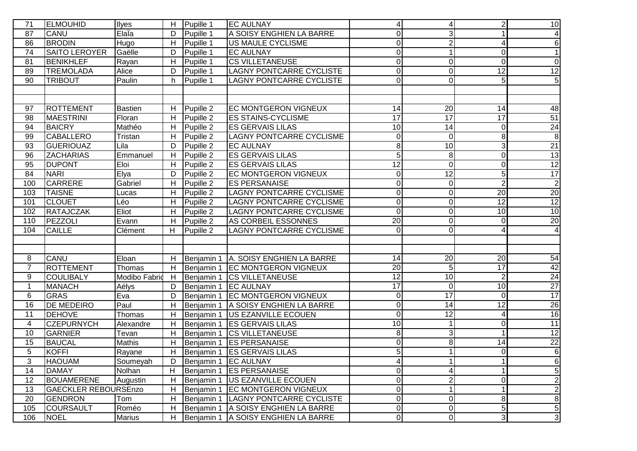| 71              | <b>ELMOUHID</b>             | Ilyes         | H | Pupille 1  | <b>EC AULNAY</b>                       | $\vert 4 \vert$ | 4                | $\overline{c}$  | 10              |
|-----------------|-----------------------------|---------------|---|------------|----------------------------------------|-----------------|------------------|-----------------|-----------------|
| 87              | <b>CANU</b>                 | ElaÏa         | D | Pupille 1  | A SOISY ENGHIEN LA BARRE               | $\overline{O}$  | 3                |                 | 4               |
| 86              | <b>BRODIN</b>               | Hugo          | H | Pupille 1  | <b>US MAULE CYCLISME</b>               | $\overline{0}$  | $\overline{2}$   | 4               | 6               |
| $\overline{74}$ | <b>SAITO LEROYER</b>        | Gaëlle        | D | Pupille 1  | <b>EC AULNAY</b>                       | $\overline{0}$  | 1                | $\Omega$        | $\overline{1}$  |
| 81              | <b>BENIKHLEF</b>            | Rayan         | Н | Pupille 1  | <b>CS VILLETANEUSE</b>                 | $\overline{O}$  | $\boldsymbol{0}$ | 0               | $\overline{0}$  |
| 89              | <b>TREMOLADA</b>            | Alice         | D | Pupille 1  | <b>LAGNY PONTCARRE CYCLISTE</b>        | $\overline{0}$  | 0                | 12              | 12              |
| 90              | <b>TRIBOUT</b>              | Paulin        | h | Pupille 1  | <b>LAGNY PONTCARRE CYCLISTE</b>        | $\overline{0}$  | 0                | $\overline{5}$  | $\overline{5}$  |
|                 |                             |               |   |            |                                        |                 |                  |                 |                 |
|                 |                             |               |   |            |                                        |                 |                  |                 |                 |
| 97              | <b>ROTTEMENT</b>            | Bastien       | Н | Pupille 2  | <b>EC MONTGERON VIGNEUX</b>            | 14              | $\overline{20}$  | 14              | 48              |
| 98              | <b>MAESTRINI</b>            | Floran        | н | Pupille 2  | <b>ES STAINS-CYCLISME</b>              | 17              | 17               | 17              | 51              |
| 94              | <b>BAICRY</b>               | Mathéo        | н | Pupille 2  | <b>ES GERVAIS LILAS</b>                | 10              | 14               | 0               | 24              |
| 99              | <b>CABALLERO</b>            | Tristan       | H | Pupille 2  | <b>LAGNY PONTCARRE CYCLISME</b>        | $\overline{0}$  | $\boldsymbol{0}$ | 8               | $\overline{8}$  |
| 93              | <b>GUERIOUAZ</b>            | Lila          | D | Pupille 2  | <b>EC AULNAY</b>                       | 8 <sup>1</sup>  | 10               | 3               | 21              |
| 96              | <b>ZACHARIAS</b>            | Emmanuel      | Н | Pupille 2  | <b>ES GERVAIS LILAS</b>                | 5 <sup>1</sup>  | 8                | 0               | 13              |
| 95              | <b>DUPONT</b>               | Eloi          | H | Pupille 2  | <b>ES GERVAIS LILAS</b>                | 12              | $\mathbf 0$      | 0               | $\overline{12}$ |
| 84              | <b>NARI</b>                 | Elya          | D | Pupille 2  | <b>EC MONTGERON VIGNEUX</b>            | $\overline{0}$  | $\overline{12}$  | 5               | 17              |
| 100             | <b>CARRERE</b>              | Gabriel       | Н | Pupille 2  | <b>ES PERSANAISE</b>                   | $\overline{O}$  | $\pmb{0}$        | $\overline{2}$  | $\overline{2}$  |
| 103             | <b>TAISNE</b>               | Lucas         | Н | Pupille 2  | <b>LAGNY PONTCARRE CYCLISME</b>        | $\overline{O}$  | 0                | $\overline{20}$ | $\frac{20}{12}$ |
| 101             | <b>CLOUET</b>               | Léo           | Н | Pupille 2  | <b>LAGNY PONTCARRE CYCLISME</b>        | $\overline{0}$  | 0                | 12              |                 |
| 102             | RATAJCZAK                   | Eliot         | Н | Pupille 2  | <b>LAGNY PONTCARRE CYCLISME</b>        | $\overline{0}$  | 0                | 10              | 10              |
| 110             | PEZZOLI                     | Evann         | Н | Pupille 2  | AS CORBEIL ESSONNES                    | $\overline{20}$ | 0                | 0               | $\overline{20}$ |
| 104             | <b>CAILLE</b>               | Clément       | н | Pupille 2  | <b>LAGNY PONTCARRE CYCLISME</b>        | $\overline{O}$  | 0                | 4               | 4               |
|                 |                             |               |   |            |                                        |                 |                  |                 |                 |
|                 |                             |               |   |            |                                        |                 |                  |                 |                 |
| 8               | <b>CANU</b>                 | Eloan         | Н |            | Benjamin 1   A. SOISY ENGHIEN LA BARRE | 14              | 20               | 20              | 54              |
| $\overline{7}$  | <b>ROTTEMENT</b>            | Thomas        | H |            | Benjamin 1 EC MONTGERON VIGNEUX        | 20              | 5                | 17              | 42              |
| 9               | <b>COULIBALY</b>            | Modibo Fabrid | H |            | Benjamin 1 CS VILLETANEUSE             | $\overline{12}$ | $\overline{10}$  | $\overline{2}$  | 24              |
| $\mathbf{1}$    | <b>MANACH</b>               | Aélys         | D |            | Benjamin 1 EC AULNAY                   | $\overline{17}$ | $\boldsymbol{0}$ | 10              | 27              |
| 6               | <b>GRAS</b>                 | Eva           | D |            | Benjamin 1 EC MONTGERON VIGNEUX        | $\overline{0}$  | $\overline{17}$  | $\mathbf 0$     | 17              |
| 16              | <b>DE MEDEIRO</b>           | Paul          | H |            | Benjamin 1   A SOISY ENGHIEN LA BARRE  | $\overline{O}$  | 14               | 12              | 26              |
| 11              | <b>DEHOVE</b>               | Thomas        | H |            | Benjamin 1   US EZANVILLE ECOUEN       | $\overline{0}$  | 12               | 4               | $\overline{16}$ |
| 4               | <b>CZEPURNYCH</b>           | Alexandre     | Н |            | Benjamin 1   ES GERVAIS LILAS          | 10              | 1                | 0               | 11              |
| 10              | <b>GARNIER</b>              | Tevan         | H |            | Benjamin 1 CS VILLETANEUSE             | 8 <sup>1</sup>  | 3                |                 | 12              |
| 15              | <b>BAUCAL</b>               | Mathis        | H |            | Benjamin 1   ES PERSANAISE             | $\overline{0}$  | 8                | 14              | $\overline{22}$ |
| 5               | <b>KOFFI</b>                | Rayane        | Н |            | Benjamin 1   ES GERVAIS LILAS          | 5 <sup>1</sup>  | 1                | $\Omega$        | 6               |
| 3               | <b>HAOUAM</b>               | Soumeyah      | D |            | Benjamin 1 <b>EC AULNAY</b>            | 4               |                  |                 | $6 \mid$        |
| 14              | <b>DAMAY</b>                | Nolhan        | H | Benjamin 1 | <b>ES PERSANAISE</b>                   | $\overline{0}$  | 4                |                 | $\overline{5}$  |
| 12              | <b>BOUAMERENE</b>           | Augustin      | Н | Benjamin 1 | <b>US EZANVILLE ECOUEN</b>             | $\overline{0}$  | 2                | 0               | $\mathbf{2}$    |
| 13              | <b>GAECKLER REBOURSEnzo</b> |               | H | Benjamin 1 | <b>EC MONTGERON VIGNEUX</b>            | $\overline{0}$  | 1                | 1               | $\overline{2}$  |
| 20              | <b>GENDRON</b>              | Tom           | н | Benjamin 1 | LAGNY PONTCARRE CYCLISTE               | $\overline{0}$  | 0                | 8               | $\infty$        |
| 105             | <b>COURSAULT</b>            | Roméo         | н | Benjamin 1 | A SOISY ENGHIEN LA BARRE               | $\overline{O}$  | 0                | 5               | $\overline{5}$  |
| 106             | <b>NOEL</b>                 | <b>Marius</b> | H |            | Benjamin 1   A SOISY ENGHIEN LA BARRE  | $\overline{0}$  | $\overline{O}$   | $\overline{3}$  | $\overline{3}$  |